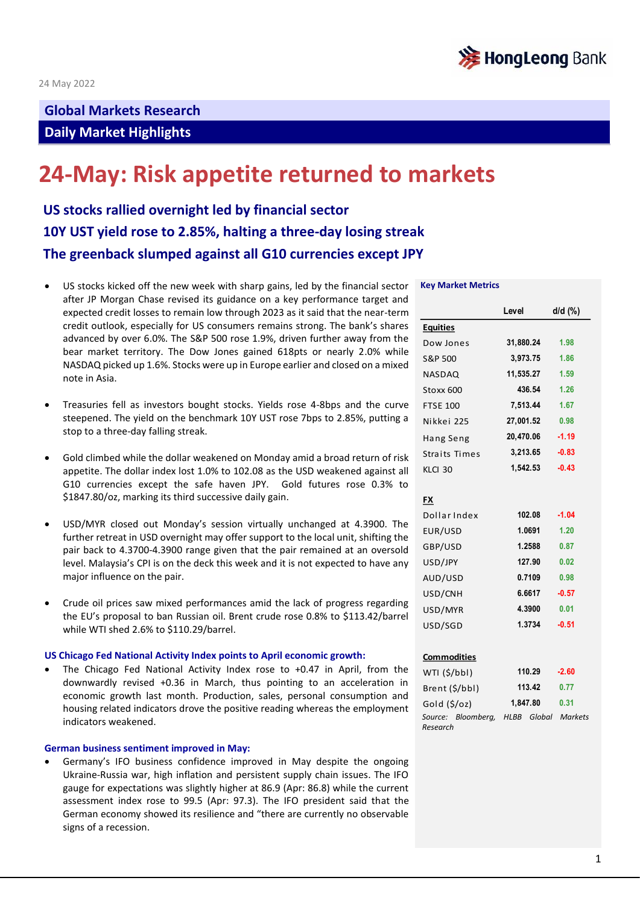

## **Global Markets Research**

## **Daily Market Highlights**

# **24-May: Risk appetite returned to markets**

**US stocks rallied overnight led by financial sector 10Y UST yield rose to 2.85%, halting a three-day losing streak The greenback slumped against all G10 currencies except JPY**

- US stocks kicked off the new week with sharp gains, led by the financial sector after JP Morgan Chase revised its guidance on a key performance target and expected credit losses to remain low through 2023 as it said that the near-term credit outlook, especially for US consumers remains strong. The bank's shares advanced by over 6.0%. The S&P 500 rose 1.9%, driven further away from the bear market territory. The Dow Jones gained 618pts or nearly 2.0% while NASDAQ picked up 1.6%. Stocks were up in Europe earlier and closed on a mixed note in Asia.
- Treasuries fell as investors bought stocks. Yields rose 4-8bps and the curve steepened. The yield on the benchmark 10Y UST rose 7bps to 2.85%, putting a stop to a three-day falling streak.
- Gold climbed while the dollar weakened on Monday amid a broad return of risk appetite. The dollar index lost 1.0% to 102.08 as the USD weakened against all G10 currencies except the safe haven JPY. Gold futures rose 0.3% to \$1847.80/oz, marking its third successive daily gain.
- USD/MYR closed out Monday's session virtually unchanged at 4.3900. The further retreat in USD overnight may offer support to the local unit, shifting the pair back to 4.3700-4.3900 range given that the pair remained at an oversold level. Malaysia's CPI is on the deck this week and it is not expected to have any major influence on the pair.
- Crude oil prices saw mixed performances amid the lack of progress regarding the EU's proposal to ban Russian oil. Brent crude rose 0.8% to \$113.42/barrel while WTI shed 2.6% to \$110.29/barrel.

#### **US Chicago Fed National Activity Index points to April economic growth:**

The Chicago Fed National Activity Index rose to +0.47 in April, from the downwardly revised +0.36 in March, thus pointing to an acceleration in economic growth last month. Production, sales, personal consumption and housing related indicators drove the positive reading whereas the employment indicators weakened.

## **German business sentiment improved in May:**

• Germany's IFO business confidence improved in May despite the ongoing Ukraine-Russia war, high inflation and persistent supply chain issues. The IFO gauge for expectations was slightly higher at 86.9 (Apr: 86.8) while the current assessment index rose to 99.5 (Apr: 97.3). The IFO president said that the German economy showed its resilience and "there are currently no observable signs of a recession.

#### **Key Market Metrics**

|                                | Level       | $d/d$ $(\%)$   |
|--------------------------------|-------------|----------------|
| <b>Equities</b>                |             |                |
| Dow Jones                      | 31,880.24   | 1.98           |
| S&P 500                        | 3,973.75    | 1.86           |
| <b>NASDAQ</b>                  | 11,535.27   | 1.59           |
| Stoxx 600                      | 436.54      | 1.26           |
| <b>FTSE 100</b>                | 7,513.44    | 1.67           |
| Nikkei 225                     | 27,001.52   | 0.98           |
| Hang Seng                      | 20,470.06   | $-1.19$        |
| Straits Times                  | 3,213.65    | $-0.83$        |
| KLCI 30                        | 1,542.53    | $-0.43$        |
|                                |             |                |
| FX                             |             |                |
| Dollar Index                   | 102.08      | $-1.04$        |
| EUR/USD                        | 1.0691      | 1.20           |
| GBP/USD                        | 1.2588      | 0.87           |
| USD/JPY                        | 127.90      | 0.02           |
| AUD/USD                        | 0.7109      | 0.98           |
| USD/CNH                        | 6.6617      | $-0.57$        |
| USD/MYR                        | 4.3900      | 0.01           |
| USD/SGD                        | 1.3734      | $-0.51$        |
|                                |             |                |
| <b>Commodities</b>             |             |                |
| WTI (\$/bbl)                   | 110.29      | $-2.60$        |
| Brent (\$/bbl)                 | 113.42      | 0.77           |
| Gold (\$/oz)                   | 1,847.80    | 0.31           |
| Source: Bloomberg,<br>Research | HLBB Global | <b>Markets</b> |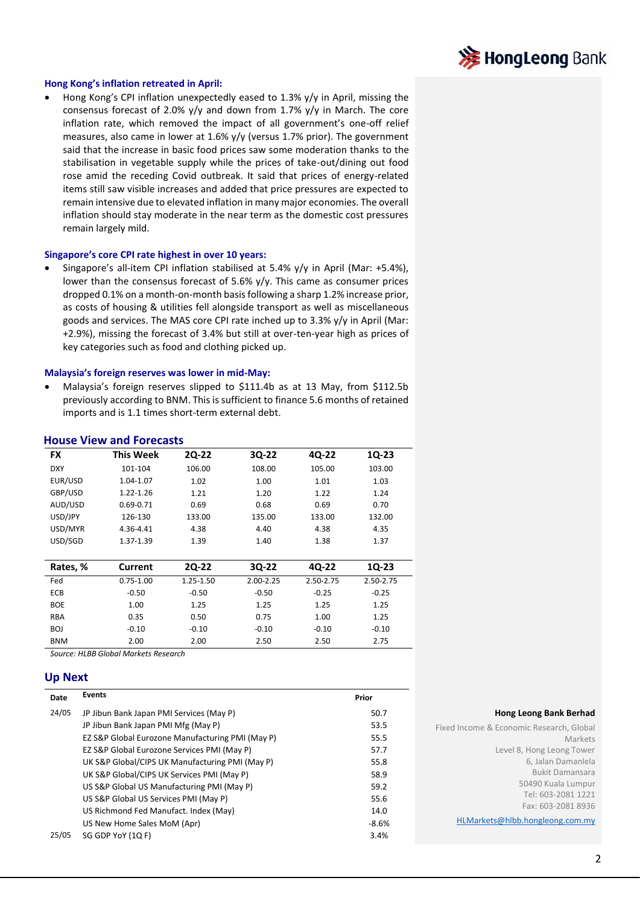

## **Hong Kong's inflation retreated in April:**

• Hong Kong's CPI inflation unexpectedly eased to 1.3% y/y in April, missing the consensus forecast of 2.0% y/y and down from 1.7% y/y in March. The core inflation rate, which removed the impact of all government's one-off relief measures, also came in lower at 1.6% y/y (versus 1.7% prior). The government said that the increase in basic food prices saw some moderation thanks to the stabilisation in vegetable supply while the prices of take-out/dining out food rose amid the receding Covid outbreak. It said that prices of energy-related items still saw visible increases and added that price pressures are expected to remain intensive due to elevated inflation in many major economies. The overall inflation should stay moderate in the near term as the domestic cost pressures remain largely mild.

## **Singapore's core CPI rate highest in over 10 years:**

• Singapore's all-item CPI inflation stabilised at 5.4% y/y in April (Mar: +5.4%), lower than the consensus forecast of 5.6% y/y. This came as consumer prices dropped 0.1% on a month-on-month basis following a sharp 1.2% increase prior, as costs of housing & utilities fell alongside transport as well as miscellaneous goods and services. The MAS core CPI rate inched up to 3.3% y/y in April (Mar: +2.9%), missing the forecast of 3.4% but still at over-ten-year high as prices of key categories such as food and clothing picked up.

#### **Malaysia's foreign reserves was lower in mid-May:**

• Malaysia's foreign reserves slipped to \$111.4b as at 13 May, from \$112.5b previously according to BNM. This is sufficient to finance 5.6 months of retained imports and is 1.1 times short-term external debt.

| <b>FX</b>  | <b>This Week</b> | 20-22     | 3Q-22     | 4Q-22     | 1Q-23     |
|------------|------------------|-----------|-----------|-----------|-----------|
| <b>DXY</b> | 101-104          | 106.00    | 108.00    | 105.00    | 103.00    |
| EUR/USD    | 1.04-1.07        | 1.02      | 1.00      | 1.01      | 1.03      |
| GBP/USD    | 1.22-1.26        | 1.21      | 1.20      | 1.22      | 1.24      |
| AUD/USD    | $0.69 - 0.71$    | 0.69      | 0.68      | 0.69      | 0.70      |
| USD/JPY    | 126-130          | 133.00    | 135.00    | 133.00    | 132.00    |
| USD/MYR    | 4.36-4.41        | 4.38      | 4.40      | 4.38      | 4.35      |
| USD/SGD    | 1.37-1.39        | 1.39      | 1.40      | 1.38      | 1.37      |
|            |                  |           |           |           |           |
| Rates, %   | Current          | 20-22     | 30-22     | 4Q-22     | 10-23     |
| Fed        | $0.75 - 1.00$    | 1.25-1.50 | 2.00-2.25 | 2.50-2.75 | 2.50-2.75 |
| <b>ECB</b> | $-0.50$          | $-0.50$   | $-0.50$   | $-0.25$   | $-0.25$   |
| <b>BOE</b> | 1.00             | 1.25      | 1.25      | 1.25      | 1.25      |

RBA 0.35 0.50 0.75 1.00 1.25 BOJ -0.10 -0.10 -0.10 -0.10 -0.10 -0.10 BNM 2.00 2.00 2.50 2.50 2.75

#### **House View and Forecasts**

*Source: HLBB Global Markets Research*

## **Up Next**

| Date  | <b>Events</b>                                    | Prior   |
|-------|--------------------------------------------------|---------|
| 24/05 | JP Jibun Bank Japan PMI Services (May P)         | 50.7    |
|       | JP Jibun Bank Japan PMI Mfg (May P)              | 53.5    |
|       | EZ S&P Global Eurozone Manufacturing PMI (May P) | 55.5    |
|       | EZ S&P Global Eurozone Services PMI (May P)      | 57.7    |
|       | UK S&P Global/CIPS UK Manufacturing PMI (May P)  | 55.8    |
|       | UK S&P Global/CIPS UK Services PMI (May P)       | 58.9    |
|       | US S&P Global US Manufacturing PMI (May P)       | 59.2    |
|       | US S&P Global US Services PMI (May P)            | 55.6    |
|       | US Richmond Fed Manufact. Index (May)            | 14.0    |
|       | US New Home Sales MoM (Apr)                      | $-8.6%$ |
| 25/05 | SG GDP YoY (1Q F)                                | 3.4%    |

#### **Hong Leong Bank Berhad**

| Fixed Income & Economic Research, Global |
|------------------------------------------|
| Markets                                  |
| Level 8, Hong Leong Tower                |
| 6, Jalan Damanlela                       |
| <b>Bukit Damansara</b>                   |
| 50490 Kuala Lumpur                       |
| Tel: 603-2081 1221                       |
| Fax: 603-2081 8936                       |
| HLMarkets@hlbb.hongleong.com.my          |

2